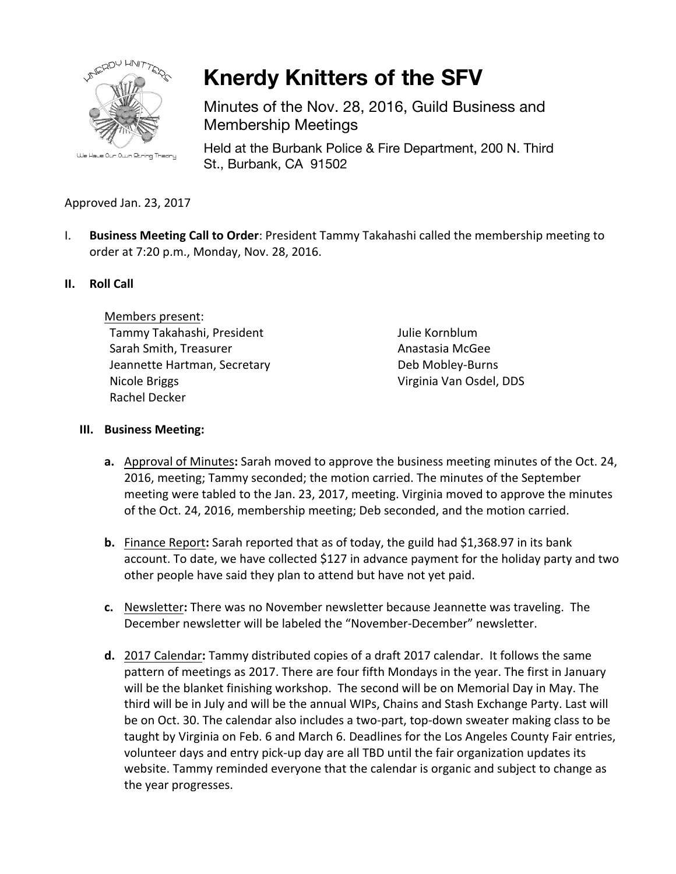

**Knerdy Knitters of the SFV**

Minutes of the Nov. 28, 2016, Guild Business and Membership Meetings

Held at the Burbank Police & Fire Department, 200 N. Third St., Burbank, CA 91502

## Approved Jan. 23, 2017

I. **Business Meeting Call to Order**: President Tammy Takahashi called the membership meeting to order at 7:20 p.m., Monday, Nov. 28, 2016.

#### **II. Roll Call**

Members present: Tammy Takahashi, President Sarah Smith, Treasurer Jeannette Hartman, Secretary Nicole Briggs Rachel Decker

Julie Kornblum Anastasia McGee Deb Mobley-Burns Virginia Van Osdel, DDS

#### **III. Business Meeting:**

- **a.** Approval of Minutes: Sarah moved to approve the business meeting minutes of the Oct. 24, 2016, meeting; Tammy seconded; the motion carried. The minutes of the September meeting were tabled to the Jan. 23, 2017, meeting. Virginia moved to approve the minutes of the Oct. 24, 2016, membership meeting; Deb seconded, and the motion carried.
- **b.** Finance Report: Sarah reported that as of today, the guild had \$1,368.97 in its bank account. To date, we have collected \$127 in advance payment for the holiday party and two other people have said they plan to attend but have not yet paid.
- **c.** Newsletter: There was no November newsletter because Jeannette was traveling. The December newsletter will be labeled the "November-December" newsletter.
- **d.** 2017 Calendar: Tammy distributed copies of a draft 2017 calendar. It follows the same pattern of meetings as 2017. There are four fifth Mondays in the year. The first in January will be the blanket finishing workshop. The second will be on Memorial Day in May. The third will be in July and will be the annual WIPs, Chains and Stash Exchange Party. Last will be on Oct. 30. The calendar also includes a two-part, top-down sweater making class to be taught by Virginia on Feb. 6 and March 6. Deadlines for the Los Angeles County Fair entries, volunteer days and entry pick-up day are all TBD until the fair organization updates its website. Tammy reminded everyone that the calendar is organic and subject to change as the year progresses.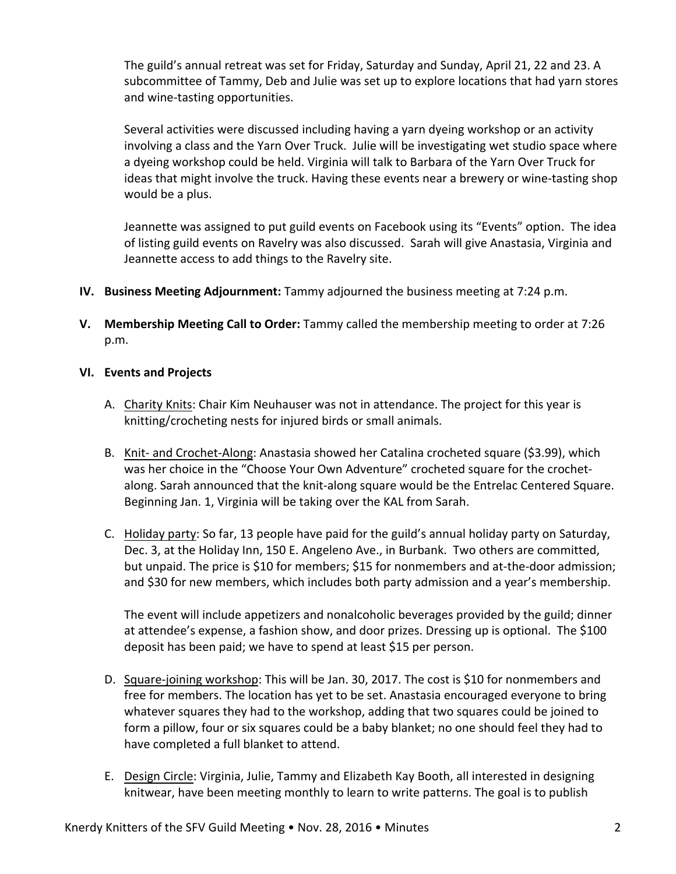The guild's annual retreat was set for Friday, Saturday and Sunday, April 21, 22 and 23. A subcommittee of Tammy, Deb and Julie was set up to explore locations that had yarn stores and wine-tasting opportunities.

Several activities were discussed including having a yarn dyeing workshop or an activity involving a class and the Yarn Over Truck. Julie will be investigating wet studio space where a dyeing workshop could be held. Virginia will talk to Barbara of the Yarn Over Truck for ideas that might involve the truck. Having these events near a brewery or wine-tasting shop would be a plus.

Jeannette was assigned to put guild events on Facebook using its "Events" option. The idea of listing guild events on Ravelry was also discussed. Sarah will give Anastasia, Virginia and Jeannette access to add things to the Ravelry site.

- **IV.** Business Meeting Adjournment: Tammy adjourned the business meeting at 7:24 p.m.
- **V.** Membership Meeting Call to Order: Tammy called the membership meeting to order at 7:26 p.m.

#### **VI. Events and Projects**

- A. Charity Knits: Chair Kim Neuhauser was not in attendance. The project for this year is knitting/crocheting nests for injured birds or small animals.
- B. Knit- and Crochet-Along: Anastasia showed her Catalina crocheted square (\$3.99), which was her choice in the "Choose Your Own Adventure" crocheted square for the crochetalong. Sarah announced that the knit-along square would be the Entrelac Centered Square. Beginning Jan. 1, Virginia will be taking over the KAL from Sarah.
- C. Holiday party: So far, 13 people have paid for the guild's annual holiday party on Saturday, Dec. 3, at the Holiday Inn, 150 E. Angeleno Ave., in Burbank. Two others are committed, but unpaid. The price is \$10 for members; \$15 for nonmembers and at-the-door admission; and \$30 for new members, which includes both party admission and a year's membership.

The event will include appetizers and nonalcoholic beverages provided by the guild; dinner at attendee's expense, a fashion show, and door prizes. Dressing up is optional. The \$100 deposit has been paid; we have to spend at least \$15 per person.

- D. Square-joining workshop: This will be Jan. 30, 2017. The cost is \$10 for nonmembers and free for members. The location has yet to be set. Anastasia encouraged everyone to bring whatever squares they had to the workshop, adding that two squares could be joined to form a pillow, four or six squares could be a baby blanket; no one should feel they had to have completed a full blanket to attend.
- E. Design Circle: Virginia, Julie, Tammy and Elizabeth Kay Booth, all interested in designing knitwear, have been meeting monthly to learn to write patterns. The goal is to publish